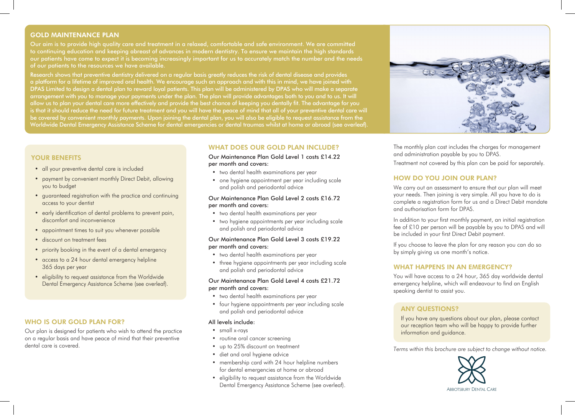## GOLD MAINTENANCE PLAN

Our aim is to provide high quality care and treatment in a relaxed, comfortable and safe environment. We are committed to continuing education and keeping abreast of advances in modern dentistry. To ensure we maintain the high standards our patients have come to expect it is becoming increasingly important for us to accurately match the number and the needs of our patients to the resources we have available.

Research shows that preventive dentistry delivered on a regular basis greatly reduces the risk of dental disease and provides a platform for a lifetime of improved oral health. We encourage such an approach and with this in mind, we have joined with DPAS Limited to design a dental plan to reward loyal patients. This plan will be administered by DPAS who will make a separate arrangement with you to manage your payments under the plan. The plan will provide advantages both to you and to us. It will allow us to plan your dental care more effectively and provide the best chance of keeping you dentally fit. The advantage for you is that it should reduce the need for future treatment and you will have the peace of mind that all of your preventive dental care will be covered by convenient monthly payments. Upon joining the dental plan, you will also be eligible to request assistance from the Worldwide Dental Emergency Assistance Scheme for dental emergencies or dental traumas whilst at home or abroad (see overleaf).

# YOUR BENEFITS

- all your preventive dental care is included
- payment by convenient monthly Direct Debit, allowing you to budget
- guaranteed registration with the practice and continuing access to your dentist
- early identification of dental problems to prevent pain, discomfort and inconvenience
- appointment times to suit you whenever possible
- discount on treatment fees
- priority booking in the event of a dental emergency
- access to a 24 hour dental emergency helpline 365 days per year
- eligibility to request assistance from the Worldwide Dental Emergency Assistance Scheme (see overleaf).

## WHO IS OUR GOLD PLAN FOR?

Our plan is designed for patients who wish to attend the practice on a regular basis and have peace of mind that their preventive dental care is covered.

## WHAT DOES OUR GOLD PLAN INCLUDE?

Our Maintenance Plan Gold Level 1 costs £14.22 per month and covers:

- two dental health examinations per year
- one hygiene appointment per year including scale and polish and periodontal advice

## Our Maintenance Plan Gold Level 2 costs £16.72 per month and covers:

- two dental health examinations per year
- two hygiene appointments per year including scale and polish and periodontal advice

#### Our Maintenance Plan Gold Level 3 costs £19.22 per month and covers:

- two dental health examinations per year
- three hygiene appointments per year including scale and polish and periodontal advice

#### Our Maintenance Plan Gold Level 4 costs £21.72 per month and covers:

- two dental health examinations per year
- four hygiene appointments per year including scale and polish and periodontal advice

#### All levels include:

- small x-rays
- routine oral cancer screening
- up to 25% discount on treatment
- diet and oral hygiene advice
- membership card with 24 hour helpline numbers for dental emergencies at home or abroad
- eligibility to request assistance from the Worldwide Dental Emergency Assistance Scheme (see overleaf).



The monthly plan cost includes the charges for management and administration payable by you to DPAS.

Treatment not covered by this plan can be paid for separately.

## HOW DO YOU JOIN OUR PLAN?

We carry out an assessment to ensure that our plan will meet your needs. Then joining is very simple. All you have to do is complete a registration form for us and a Direct Debit mandate and authorisation form for DPAS.

In addition to your first monthly payment, an initial registration fee of £10 per person will be payable by you to DPAS and will be included in your first Direct Debit payment.

If you choose to leave the plan for any reason you can do so by simply giving us one month's notice.

## WHAT HAPPENS IN AN EMERGENCY?

You will have access to a 24 hour, 365 day worldwide dental emergency helpline, which will endeavour to find an English speaking dentist to assist you.

# ANY QUESTIONS?

If you have any questions about our plan, please contact our reception team who will be happy to provide further information and guidance.

*Terms within this brochure are subject to change without notice.*